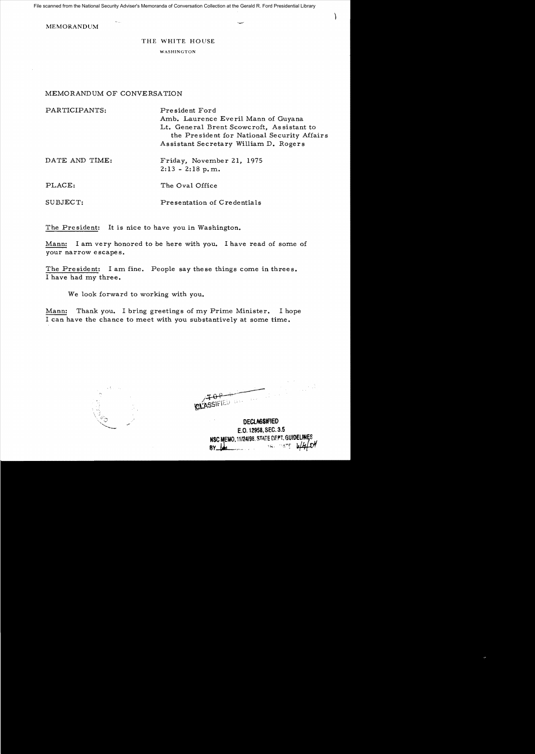File scanned from the National Security Adviser's Memoranda of Conversation Collection at the Gerald R. Ford Presidential Library

MEMORANDUM

## THE WHITE HOUSE

WASHINGTON

## MEMORANDUM OF CONVERSATION

| PARTICIPANTS:  | President Ford<br>Amb. Laurence Everil Mann of Guyana<br>Lt. General Brent Scowcroft, Assistant to<br>the President for National Security Affairs<br>Assistant Secretary William D. Rogers |
|----------------|--------------------------------------------------------------------------------------------------------------------------------------------------------------------------------------------|
| DATE AND TIME: | Friday, November 21, 1975<br>$2:13 - 2:18$ p.m.                                                                                                                                            |
| PLACE:         | The Oval Office                                                                                                                                                                            |
| SUBJECT:       | Presentation of Credentials                                                                                                                                                                |

The Pre sident: It is nice to *have you* in Washington.

Mann: I am *very* honored to be here with *you.* I have read of some of your narrow escapes.

The President: I am fine. People say these things come in threes. I have had my three.

We look forward to working with *you.* 

Mann: Thank *you.* I bring greetings of my Prime Minister. I hope I can have the chance to meet with *you* substantively at some time.

**SSIFIED** 

)

**DEClASSftED**  E.O. 12958, SEC. 3.5 NSC MEMO, 11/24/98. STATE DEPT, GUIDE<br>BY JAM